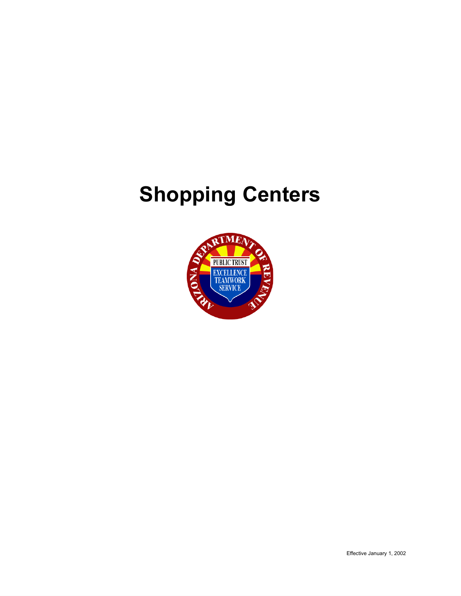# **Shopping Centers**

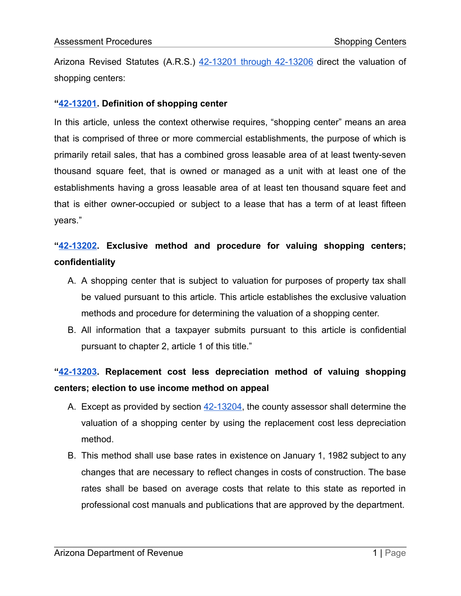Arizona Revised Statutes (A.R.S.) [42-13201](https://www.azleg.gov/viewDocument/?docName=http://www.azleg.gov/ars/42/13201.htm) through 42-13206 direct the valuation of shopping centers:

#### **"[42-13201.](https://www.azleg.gov/viewDocument/?docName=http://www.azleg.gov/ars/42/13201.htm) Definition of shopping center**

In this article, unless the context otherwise requires, "shopping center" means an area that is comprised of three or more commercial establishments, the purpose of which is primarily retail sales, that has a combined gross leasable area of at least twenty-seven thousand square feet, that is owned or managed as a unit with at least one of the establishments having a gross leasable area of at least ten thousand square feet and that is either owner-occupied or subject to a lease that has a term of at least fifteen years."

## **"[42-13202.](https://www.azleg.gov/viewDocument/?docName=http://www.azleg.gov/ars/42/13202.htm) Exclusive method and procedure for valuing shopping centers; confidentiality**

- A. A shopping center that is subject to valuation for purposes of property tax shall be valued pursuant to this article. This article establishes the exclusive valuation methods and procedure for determining the valuation of a shopping center.
- B. All information that a taxpayer submits pursuant to this article is confidential pursuant to chapter 2, article 1 of this title."

## **"[42-13203.](https://www.azleg.gov/viewDocument/?docName=http://www.azleg.gov/ars/42/13203.htm) Replacement cost less depreciation method of valuing shopping centers; election to use income method on appeal**

- A. Except as provided by section [42-13204,](https://www.azleg.gov/viewDocument/?docName=http://www.azleg.gov/ars/42/13204.htm) the county assessor shall determine the valuation of a shopping center by using the replacement cost less depreciation method.
- B. This method shall use base rates in existence on January 1, 1982 subject to any changes that are necessary to reflect changes in costs of construction. The base rates shall be based on average costs that relate to this state as reported in professional cost manuals and publications that are approved by the department.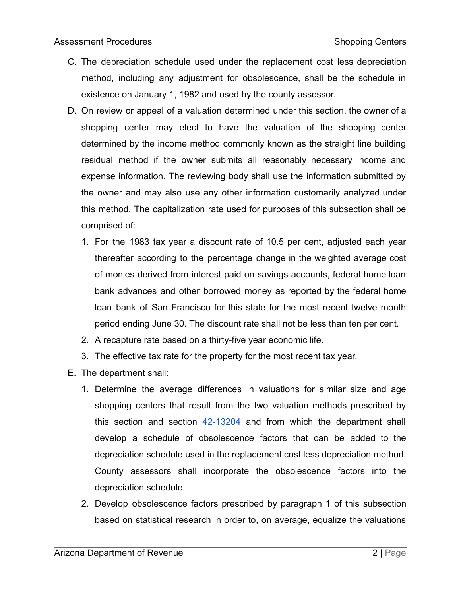- C. The depreciation schedule used under the replacement cost less depreciation method, including any adjustment for obsolescence, shall be the schedule in existence on January 1, 1982 and used by the county assessor.
- D. On review or appeal of a valuation determined under this section, the owner of a shopping center may elect to have the valuation of the shopping center determined by the income method commonly known as the straight line building residual method if the owner submits all reasonably necessary income and expense information. The reviewing body shall use the information submitted by the owner and may also use any other information customarily analyzed under this method. The capitalization rate used for purposes of this subsection shall be comprised of:
	- 1. For the 1983 tax year a discount rate of 10.5 per cent, adjusted each year thereafter according to the percentage change in the weighted average cost of monies derived from interest paid on savings accounts, federal home loan bank advances and other borrowed money as reported by the federal home loan bank of San Francisco for this state for the most recent twelve month period ending June 30. The discount rate shall not be less than ten per cent.
	- 2. A recapture rate based on a thirty-five year economic life.
	- 3. The effective tax rate for the property for the most recent tax year.
- E. The department shall:
	- 1. Determine the average differences in valuations for similar size and age shopping centers that result from the two valuation methods prescribed by this section and section  $42-13204$  and from which the department shall develop a schedule of obsolescence factors that can be added to the depreciation schedule used in the replacement cost less depreciation method. County assessors shall incorporate the obsolescence factors into the depreciation schedule.
	- 2. Develop obsolescence factors prescribed by paragraph 1 of this subsection based on statistical research in order to, on average, equalize the valuations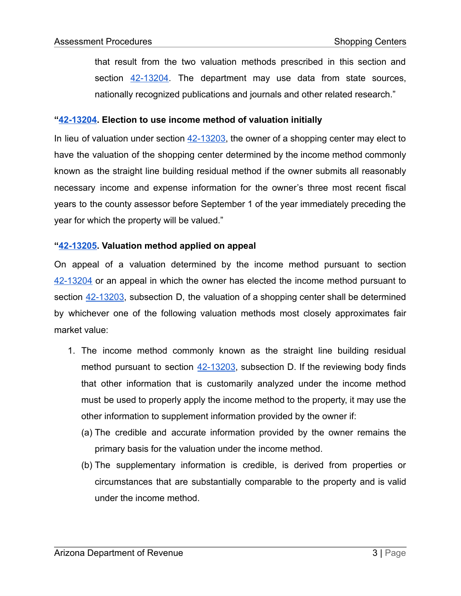that result from the two valuation methods prescribed in this section and section [42-13204](https://www.azleg.gov/viewDocument/?docName=http://www.azleg.gov/ars/42/13204.htm). The department may use data from state sources, nationally recognized publications and journals and other related research."

#### **"[42-13204.](https://www.azleg.gov/viewDocument/?docName=http://www.azleg.gov/ars/42/13204.htm) Election to use income method of valuation initially**

In lieu of valuation under section  $42-13203$ , the owner of a shopping center may elect to have the valuation of the shopping center determined by the income method commonly known as the straight line building residual method if the owner submits all reasonably necessary income and expense information for the owner's three most recent fiscal years to the county assessor before September 1 of the year immediately preceding the year for which the property will be valued."

#### **"[42-13205.](https://www.azleg.gov/viewDocument/?docName=http://www.azleg.gov/ars/42/13205.htm) Valuation method applied on appeal**

On appeal of a valuation determined by the income method pursuant to section [42-13204](https://www.azleg.gov/viewDocument/?docName=http://www.azleg.gov/ars/42/13204.htm) or an appeal in which the owner has elected the income method pursuant to section  $42-13203$ , subsection D, the valuation of a shopping center shall be determined by whichever one of the following valuation methods most closely approximates fair market value:

- 1. The income method commonly known as the straight line building residual method pursuant to section [42-13203,](https://www.azleg.gov/viewDocument/?docName=http://www.azleg.gov/ars/42/13203.htm) subsection D. If the reviewing body finds that other information that is customarily analyzed under the income method must be used to properly apply the income method to the property, it may use the other information to supplement information provided by the owner if:
	- (a) The credible and accurate information provided by the owner remains the primary basis for the valuation under the income method.
	- (b) The supplementary information is credible, is derived from properties or circumstances that are substantially comparable to the property and is valid under the income method.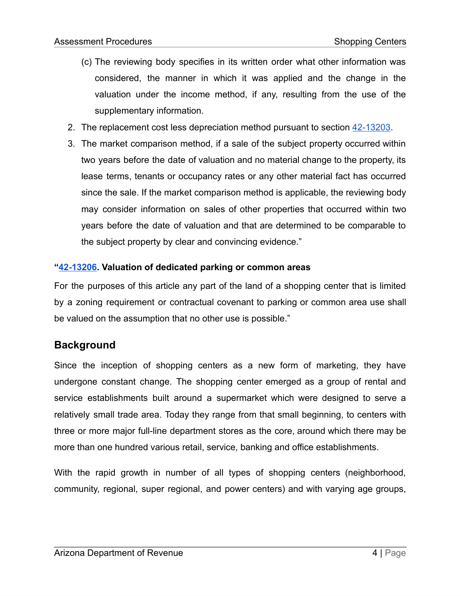- (c) The reviewing body specifies in its written order what other information was considered, the manner in which it was applied and the change in the valuation under the income method, if any, resulting from the use of the supplementary information.
- 2. The replacement cost less depreciation method pursuant to section [42-13203.](https://www.azleg.gov/viewDocument/?docName=http://www.azleg.gov/ars/42/13203.htm)
- 3. The market comparison method, if a sale of the subject property occurred within two years before the date of valuation and no material change to the property, its lease terms, tenants or occupancy rates or any other material fact has occurred since the sale. If the market comparison method is applicable, the reviewing body may consider information on sales of other properties that occurred within two years before the date of valuation and that are determined to be comparable to the subject property by clear and convincing evidence."

#### **"[42-13206.](https://www.azleg.gov/viewDocument/?docName=http://www.azleg.gov/ars/42/13206.htm) Valuation of dedicated parking or common areas**

For the purposes of this article any part of the land of a shopping center that is limited by a zoning requirement or contractual covenant to parking or common area use shall be valued on the assumption that no other use is possible."

## **Background**

Since the inception of shopping centers as a new form of marketing, they have undergone constant change. The shopping center emerged as a group of rental and service establishments built around a supermarket which were designed to serve a relatively small trade area. Today they range from that small beginning, to centers with three or more major full-line department stores as the core, around which there may be more than one hundred various retail, service, banking and office establishments.

With the rapid growth in number of all types of shopping centers (neighborhood, community, regional, super regional, and power centers) and with varying age groups,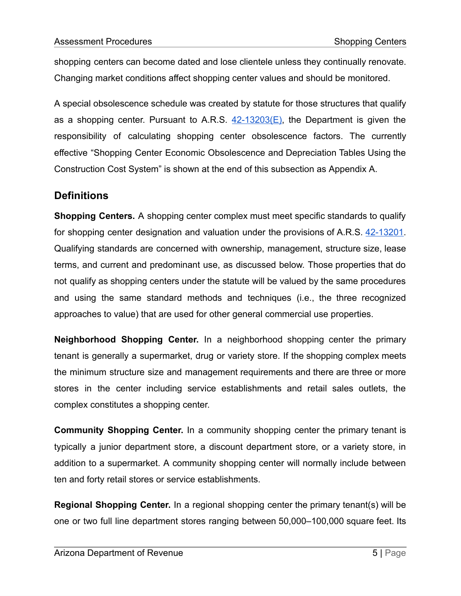shopping centers can become dated and lose clientele unless they continually renovate. Changing market conditions affect shopping center values and should be monitored.

A special obsolescence schedule was created by statute for those structures that qualify as a shopping center. Pursuant to A.R.S.  $42-13203(E)$ , the Department is given the responsibility of calculating shopping center obsolescence factors. The currently effective "Shopping Center Economic Obsolescence and Depreciation Tables Using the Construction Cost System" is shown at the end of this subsection as Appendix A.

## **Definitions**

**Shopping Centers.** A shopping center complex must meet specific standards to qualify for shopping center designation and valuation under the provisions of A.R.S. [42-13201](https://www.azleg.gov/viewDocument/?docName=http://www.azleg.gov/ars/42/13201.htm). Qualifying standards are concerned with ownership, management, structure size, lease terms, and current and predominant use, as discussed below. Those properties that do not qualify as shopping centers under the statute will be valued by the same procedures and using the same standard methods and techniques (i.e., the three recognized approaches to value) that are used for other general commercial use properties.

**Neighborhood Shopping Center.** In a neighborhood shopping center the primary tenant is generally a supermarket, drug or variety store. If the shopping complex meets the minimum structure size and management requirements and there are three or more stores in the center including service establishments and retail sales outlets, the complex constitutes a shopping center.

**Community Shopping Center.** In a community shopping center the primary tenant is typically a junior department store, a discount department store, or a variety store, in addition to a supermarket. A community shopping center will normally include between ten and forty retail stores or service establishments.

**Regional Shopping Center.** In a regional shopping center the primary tenant(s) will be one or two full line department stores ranging between 50,000–100,000 square feet. Its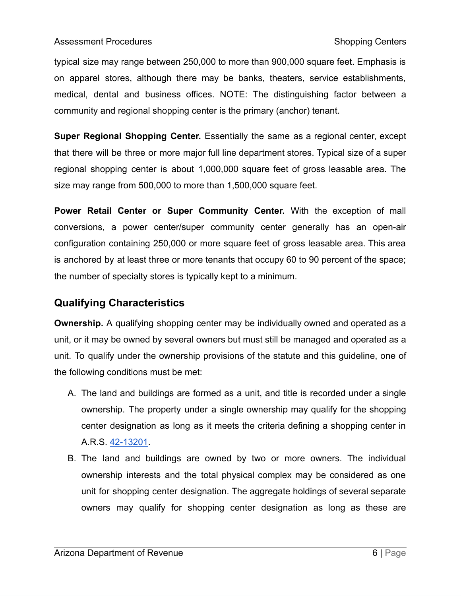typical size may range between 250,000 to more than 900,000 square feet. Emphasis is on apparel stores, although there may be banks, theaters, service establishments, medical, dental and business offices. NOTE: The distinguishing factor between a community and regional shopping center is the primary (anchor) tenant.

**Super Regional Shopping Center.** Essentially the same as a regional center, except that there will be three or more major full line department stores. Typical size of a super regional shopping center is about 1,000,000 square feet of gross leasable area. The size may range from 500,000 to more than 1,500,000 square feet.

**Power Retail Center or Super Community Center.** With the exception of mall conversions, a power center/super community center generally has an open-air configuration containing 250,000 or more square feet of gross leasable area. This area is anchored by at least three or more tenants that occupy 60 to 90 percent of the space; the number of specialty stores is typically kept to a minimum.

## **Qualifying Characteristics**

**Ownership.** A qualifying shopping center may be individually owned and operated as a unit, or it may be owned by several owners but must still be managed and operated as a unit. To qualify under the ownership provisions of the statute and this guideline, one of the following conditions must be met:

- A. The land and buildings are formed as a unit, and title is recorded under a single ownership. The property under a single ownership may qualify for the shopping center designation as long as it meets the criteria defining a shopping center in A.R.S. [42-13201](https://www.azleg.gov/viewDocument/?docName=http://www.azleg.gov/ars/42/13201.htm).
- B. The land and buildings are owned by two or more owners. The individual ownership interests and the total physical complex may be considered as one unit for shopping center designation. The aggregate holdings of several separate owners may qualify for shopping center designation as long as these are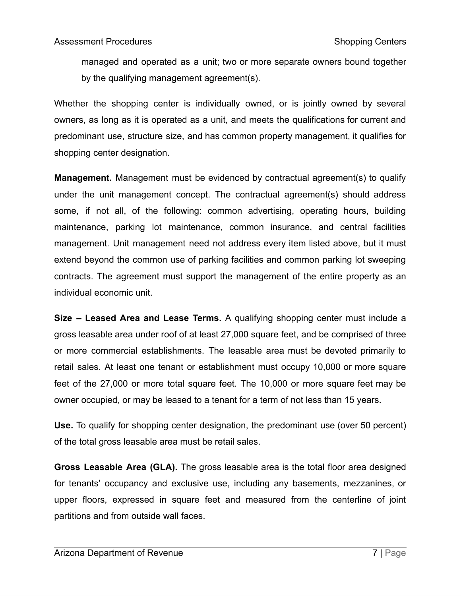managed and operated as a unit; two or more separate owners bound together by the qualifying management agreement(s).

Whether the shopping center is individually owned, or is jointly owned by several owners, as long as it is operated as a unit, and meets the qualifications for current and predominant use, structure size, and has common property management, it qualifies for shopping center designation.

**Management.** Management must be evidenced by contractual agreement(s) to qualify under the unit management concept. The contractual agreement(s) should address some, if not all, of the following: common advertising, operating hours, building maintenance, parking lot maintenance, common insurance, and central facilities management. Unit management need not address every item listed above, but it must extend beyond the common use of parking facilities and common parking lot sweeping contracts. The agreement must support the management of the entire property as an individual economic unit.

**Size – Leased Area and Lease Terms.** A qualifying shopping center must include a gross leasable area under roof of at least 27,000 square feet, and be comprised of three or more commercial establishments. The leasable area must be devoted primarily to retail sales. At least one tenant or establishment must occupy 10,000 or more square feet of the 27,000 or more total square feet. The 10,000 or more square feet may be owner occupied, or may be leased to a tenant for a term of not less than 15 years.

**Use.** To qualify for shopping center designation, the predominant use (over 50 percent) of the total gross leasable area must be retail sales.

**Gross Leasable Area (GLA).** The gross leasable area is the total floor area designed for tenants' occupancy and exclusive use, including any basements, mezzanines, or upper floors, expressed in square feet and measured from the centerline of joint partitions and from outside wall faces.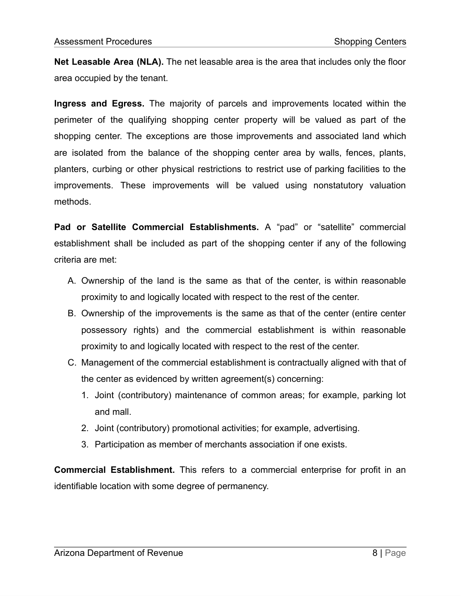**Net Leasable Area (NLA).** The net leasable area is the area that includes only the floor area occupied by the tenant.

**Ingress and Egress.** The majority of parcels and improvements located within the perimeter of the qualifying shopping center property will be valued as part of the shopping center. The exceptions are those improvements and associated land which are isolated from the balance of the shopping center area by walls, fences, plants, planters, curbing or other physical restrictions to restrict use of parking facilities to the improvements. These improvements will be valued using nonstatutory valuation methods.

**Pad or Satellite Commercial Establishments.** A "pad" or "satellite" commercial establishment shall be included as part of the shopping center if any of the following criteria are met:

- A. Ownership of the land is the same as that of the center, is within reasonable proximity to and logically located with respect to the rest of the center.
- B. Ownership of the improvements is the same as that of the center (entire center possessory rights) and the commercial establishment is within reasonable proximity to and logically located with respect to the rest of the center.
- C. Management of the commercial establishment is contractually aligned with that of the center as evidenced by written agreement(s) concerning:
	- 1. Joint (contributory) maintenance of common areas; for example, parking lot and mall.
	- 2. Joint (contributory) promotional activities; for example, advertising.
	- 3. Participation as member of merchants association if one exists.

**Commercial Establishment.** This refers to a commercial enterprise for profit in an identifiable location with some degree of permanency.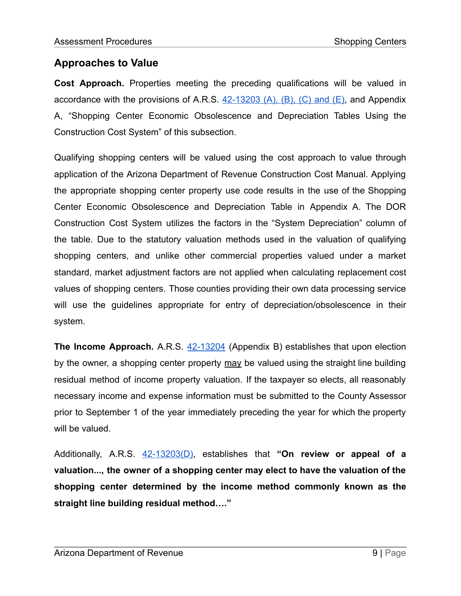## **Approaches to Value**

**Cost Approach.** Properties meeting the preceding qualifications will be valued in accordance with the provisions of A.R.S.  $42-13203$  (A), (B), (C) and (E), and Appendix A, "Shopping Center Economic Obsolescence and Depreciation Tables Using the Construction Cost System" of this subsection.

Qualifying shopping centers will be valued using the cost approach to value through application of the Arizona Department of Revenue Construction Cost Manual. Applying the appropriate shopping center property use code results in the use of the Shopping Center Economic Obsolescence and Depreciation Table in Appendix A. The DOR Construction Cost System utilizes the factors in the "System Depreciation" column of the table. Due to the statutory valuation methods used in the valuation of qualifying shopping centers, and unlike other commercial properties valued under a market standard, market adjustment factors are not applied when calculating replacement cost values of shopping centers. Those counties providing their own data processing service will use the guidelines appropriate for entry of depreciation/obsolescence in their system.

**The Income Approach.** A.R.S. [42-13204](https://www.azleg.gov/viewDocument/?docName=http://www.azleg.gov/ars/42/13204.htm) (Appendix B) establishes that upon election by the owner, a shopping center property may be valued using the straight line building residual method of income property valuation. If the taxpayer so elects, all reasonably necessary income and expense information must be submitted to the County Assessor prior to September 1 of the year immediately preceding the year for which the property will be valued.

Additionally, A.R.S. [42-13203\(D\)](https://www.azleg.gov/viewDocument/?docName=http://www.azleg.gov/ars/42/13203.htm), establishes that **"On review or appeal of a valuation..., the owner of a shopping center may elect to have the valuation of the shopping center determined by the income method commonly known as the straight line building residual method…."**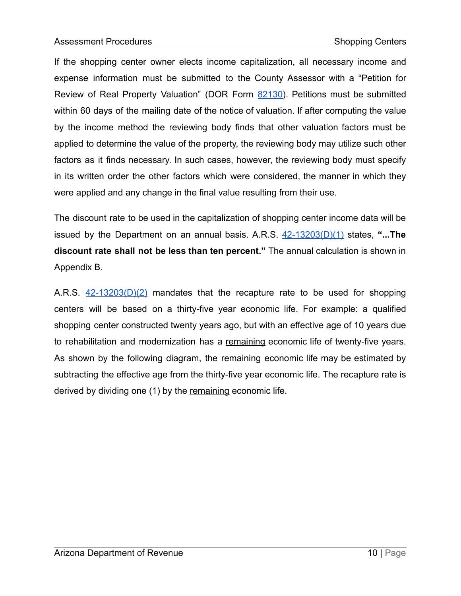If the shopping center owner elects income capitalization, all necessary income and expense information must be submitted to the County Assessor with a "Petition for Review of Real Property Valuation" (DOR Form [82130\)](https://azdor.gov/forms/property-tax-forms/petition-review-real-property-valuation). Petitions must be submitted within 60 days of the mailing date of the notice of valuation. If after computing the value by the income method the reviewing body finds that other valuation factors must be applied to determine the value of the property, the reviewing body may utilize such other factors as it finds necessary. In such cases, however, the reviewing body must specify in its written order the other factors which were considered, the manner in which they were applied and any change in the final value resulting from their use.

The discount rate to be used in the capitalization of shopping center income data will be issued by the Department on an annual basis. A.R.S. [42-13203\(D\)\(1\)](https://www.azleg.gov/viewDocument/?docName=http://www.azleg.gov/ars/42/13203.htm) states, **"...The discount rate shall not be less than ten percent."** The annual calculation is shown in Appendix B.

A.R.S.  $42-13203(D)(2)$  mandates that the recapture rate to be used for shopping centers will be based on a thirty-five year economic life. For example: a qualified shopping center constructed twenty years ago, but with an effective age of 10 years due to rehabilitation and modernization has a remaining economic life of twenty-five years. As shown by the following diagram, the remaining economic life may be estimated by subtracting the effective age from the thirty-five year economic life. The recapture rate is derived by dividing one (1) by the remaining economic life.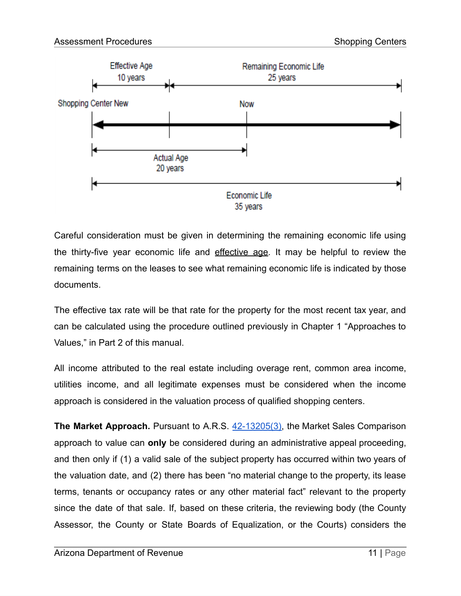

Careful consideration must be given in determining the remaining economic life using the thirty-five year economic life and effective age. It may be helpful to review the remaining terms on the leases to see what remaining economic life is indicated by those documents.

The effective tax rate will be that rate for the property for the most recent tax year, and can be calculated using the procedure outlined previously in Chapter 1 "Approaches to Values," in Part 2 of this manual.

All income attributed to the real estate including overage rent, common area income, utilities income, and all legitimate expenses must be considered when the income approach is considered in the valuation process of qualified shopping centers.

**The Market Approach.** Pursuant to A.R.S. [42-13205\(3\),](https://www.azleg.gov/viewDocument/?docName=http://www.azleg.gov/ars/42/13205.htm) the Market Sales Comparison approach to value can **only** be considered during an administrative appeal proceeding, and then only if (1) a valid sale of the subject property has occurred within two years of the valuation date, and (2) there has been "no material change to the property, its lease terms, tenants or occupancy rates or any other material fact" relevant to the property since the date of that sale. If, based on these criteria, the reviewing body (the County Assessor, the County or State Boards of Equalization, or the Courts) considers the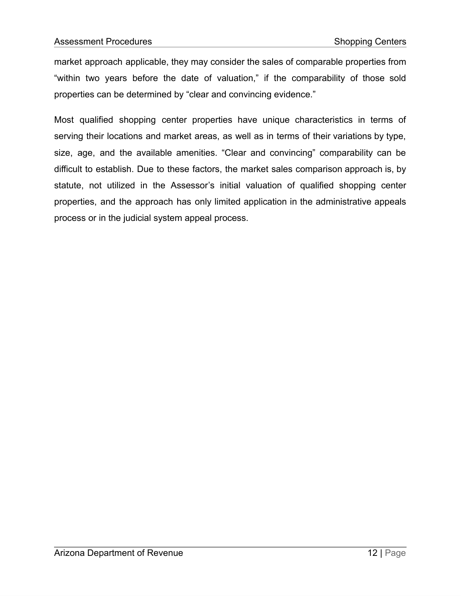market approach applicable, they may consider the sales of comparable properties from "within two years before the date of valuation," if the comparability of those sold properties can be determined by "clear and convincing evidence."

Most qualified shopping center properties have unique characteristics in terms of serving their locations and market areas, as well as in terms of their variations by type, size, age, and the available amenities. "Clear and convincing" comparability can be difficult to establish. Due to these factors, the market sales comparison approach is, by statute, not utilized in the Assessor's initial valuation of qualified shopping center properties, and the approach has only limited application in the administrative appeals process or in the judicial system appeal process.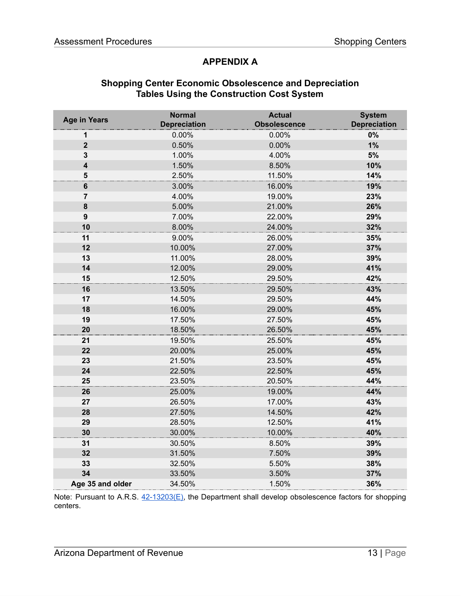### **APPENDIX A**

#### **Shopping Center Economic Obsolescence and Depreciation Tables Using the Construction Cost System**

| <b>Age in Years</b>     | <b>Normal</b><br><b>Depreciation</b> | <b>Actual</b><br><b>Obsolescence</b> | <b>System</b><br><b>Depreciation</b> |
|-------------------------|--------------------------------------|--------------------------------------|--------------------------------------|
| 1                       | 0.00%                                | 0.00%                                | 0%                                   |
| $\overline{2}$          | 0.50%                                | 0.00%                                | 1%                                   |
| 3                       | 1.00%                                | 4.00%                                | $5%$                                 |
| $\overline{\mathbf{4}}$ | 1.50%                                | 8.50%                                | 10%                                  |
| 5                       | 2.50%                                | 11.50%                               | 14%                                  |
| $6\phantom{1}$          | 3.00%                                | 16.00%                               | 19%                                  |
| 7                       | 4.00%                                | 19.00%                               | 23%                                  |
| 8                       | 5.00%                                | 21.00%                               | 26%                                  |
| $\boldsymbol{9}$        | 7.00%                                | 22.00%                               | 29%                                  |
| 10                      | 8.00%                                | 24.00%                               | 32%                                  |
| 11                      | 9.00%                                | 26.00%                               | 35%                                  |
| 12                      | 10.00%                               | 27.00%                               | 37%                                  |
| 13                      | 11.00%                               | 28.00%                               | 39%                                  |
| 14                      | 12.00%                               | 29.00%                               | 41%                                  |
| 15                      | 12.50%                               | 29.50%                               | 42%                                  |
| 16                      | 13.50%                               | 29.50%                               | 43%                                  |
| 17                      | 14.50%                               | 29.50%                               | 44%                                  |
| 18                      | 16.00%                               | 29.00%                               | 45%                                  |
| 19                      | 17.50%                               | 27.50%                               | 45%                                  |
| 20                      | 18.50%                               | 26.50%                               | 45%                                  |
| 21                      | 19.50%                               | 25.50%                               | 45%                                  |
| 22                      | 20.00%                               | 25.00%                               | 45%                                  |
| 23                      | 21.50%                               | 23.50%                               | 45%                                  |
| 24                      | 22.50%                               | 22.50%                               | 45%                                  |
| 25                      | 23.50%                               | 20.50%                               | 44%                                  |
| 26                      | 25.00%                               | 19.00%                               | 44%                                  |
| 27                      | 26.50%                               | 17.00%                               | 43%                                  |
| 28                      | 27.50%                               | 14.50%                               | 42%                                  |
| 29                      | 28.50%                               | 12.50%                               | 41%                                  |
| 30                      | 30.00%                               | 10.00%                               | 40%                                  |
| 31                      | 30.50%                               | 8.50%                                | 39%                                  |
| 32                      | 31.50%                               | 7.50%                                | 39%                                  |
| 33                      | 32.50%                               | 5.50%                                | 38%                                  |
| 34                      | 33.50%                               | 3.50%                                | 37%                                  |
| Age 35 and older        | 34.50%                               | 1.50%                                | 36%                                  |

Note: Pursuant to A.R.S.  $42-13203(E)$ , the Department shall develop obsolescence factors for shopping centers.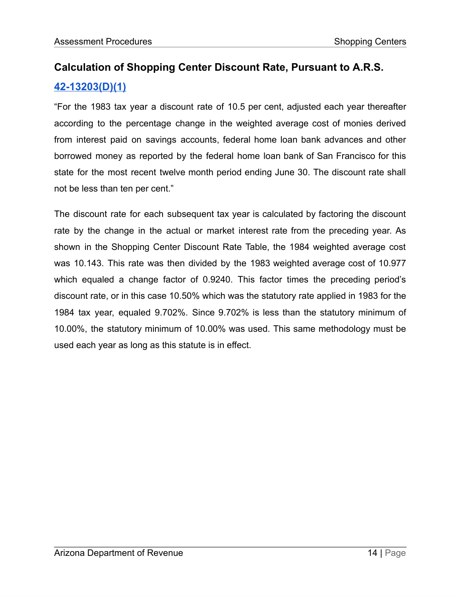## **Calculation of Shopping Center Discount Rate, Pursuant to A.R.S. [42-13203\(D\)\(1\)](https://www.azleg.gov/viewDocument/?docName=http://www.azleg.gov/ars/42/13203.htm)**

"For the 1983 tax year a discount rate of 10.5 per cent, adjusted each year thereafter according to the percentage change in the weighted average cost of monies derived from interest paid on savings accounts, federal home loan bank advances and other borrowed money as reported by the federal home loan bank of San Francisco for this state for the most recent twelve month period ending June 30. The discount rate shall not be less than ten per cent."

The discount rate for each subsequent tax year is calculated by factoring the discount rate by the change in the actual or market interest rate from the preceding year. As shown in the Shopping Center Discount Rate Table, the 1984 weighted average cost was 10.143. This rate was then divided by the 1983 weighted average cost of 10.977 which equaled a change factor of 0.9240. This factor times the preceding period's discount rate, or in this case 10.50% which was the statutory rate applied in 1983 for the 1984 tax year, equaled 9.702%. Since 9.702% is less than the statutory minimum of 10.00%, the statutory minimum of 10.00% was used. This same methodology must be used each year as long as this statute is in effect.